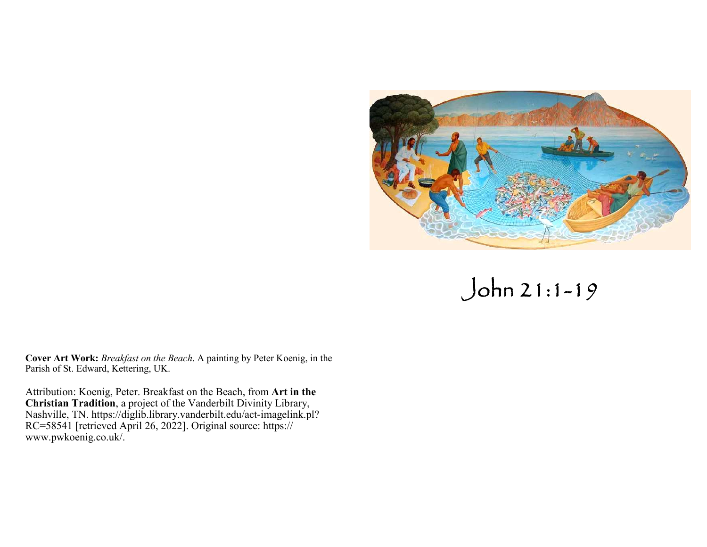

 $John 21:1-19$ 

**Cover Art Work:** *Breakfast on the Beach*. A painting by Peter Koenig, in the Parish of St. Edward, Kettering, UK.

Attribution: Koenig, Peter. Breakfast on the Beach, from Art in the<br>Christian Tradition, a project of the Vanderbilt Divinity Library,<br>Nashville, TN. https://diglib.library.vanderbilt.edu/act-imagelink.pl?<br>RC=58541 [retrie www.pwkoenig.co.uk/.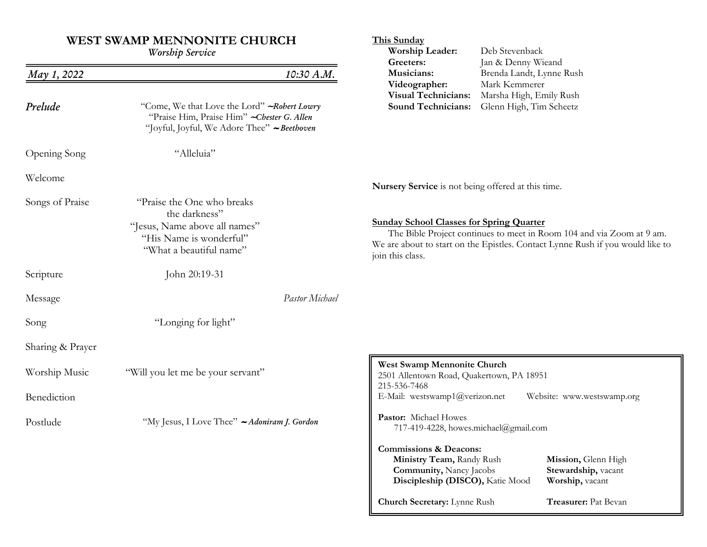# **WEST SWAMP MENNONITE CHURCH**

| <b>Worship Service</b> |                                                                                                                                            | Worship Leader:<br>Greeters:                                                                                                                                                                                                   | Deb Stevenback<br>Jan & Denny Wieand                                                            |                                                               |
|------------------------|--------------------------------------------------------------------------------------------------------------------------------------------|--------------------------------------------------------------------------------------------------------------------------------------------------------------------------------------------------------------------------------|-------------------------------------------------------------------------------------------------|---------------------------------------------------------------|
| May 1, 2022            | 10:30 A.M.                                                                                                                                 | Musicians:                                                                                                                                                                                                                     | Brenda Landt, Lynne Rush<br>Mark Kemmerer<br>Marsha High, Emily Rush<br>Glenn High, Tim Scheetz |                                                               |
| Prelude                | "Come, We that Love the Lord" ~ Robert Lowry<br>"Praise Him, Praise Him" ~ Chester G. Allen<br>"Joyful, Joyful, We Adore Thee" ~ Beethoven | Videographer:<br><b>Visual Technicians:</b><br><b>Sound Technicians:</b>                                                                                                                                                       |                                                                                                 |                                                               |
| Opening Song           | "Alleluia"                                                                                                                                 |                                                                                                                                                                                                                                |                                                                                                 |                                                               |
| Welcome                |                                                                                                                                            | Nursery Service is not being offered at this time.                                                                                                                                                                             |                                                                                                 |                                                               |
| Songs of Praise        | "Praise the One who breaks"<br>the darkness"<br>"Jesus, Name above all names"<br>"His Name is wonderful"<br>"What a beautiful name"        | <b>Sunday School Classes for Spring Quarter</b><br>The Bible Project continues to meet in Room 104 and via Zoom at 9 am.<br>We are about to start on the Epistles. Contact Lynne Rush if you would like to<br>join this class. |                                                                                                 |                                                               |
| Scripture              | John 20:19-31                                                                                                                              |                                                                                                                                                                                                                                |                                                                                                 |                                                               |
| Message                | Pastor Michael                                                                                                                             |                                                                                                                                                                                                                                |                                                                                                 |                                                               |
| Song                   | "Longing for light"                                                                                                                        |                                                                                                                                                                                                                                |                                                                                                 |                                                               |
| Sharing & Prayer       |                                                                                                                                            |                                                                                                                                                                                                                                |                                                                                                 |                                                               |
| Worship Music          | "Will you let me be your servant"                                                                                                          | West Swamp Mennonite Church<br>2501 Allentown Road, Quakertown, PA 18951<br>215-536-7468                                                                                                                                       |                                                                                                 |                                                               |
| Benediction            |                                                                                                                                            | E-Mail: westswamp1@verizon.net                                                                                                                                                                                                 |                                                                                                 | Website: www.westswamp.org                                    |
| Postlude               | "My Jesus, I Love Thee" ~ Adoniram J. Gordon                                                                                               | Pastor: Michael Howes<br>717-419-4228, howes.michael@gmail.com                                                                                                                                                                 |                                                                                                 |                                                               |
|                        |                                                                                                                                            | <b>Commissions &amp; Deacons:</b><br>Ministry Team, Randy Rush<br><b>Community, Nancy Jacobs</b><br>Discipleship (DISCO), Katie Mood                                                                                           |                                                                                                 | Mission, Glenn High<br>Stewardship, vacant<br>Worship, vacant |
|                        |                                                                                                                                            | Church Secretary: Lynne Rush                                                                                                                                                                                                   |                                                                                                 | Treasurer: Pat Bevan                                          |

**This Sunday**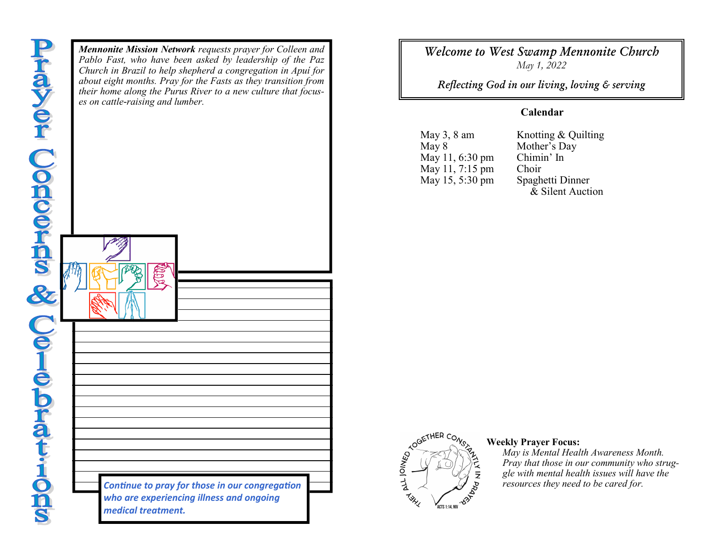*Mennonite Mission Network requests prayer for Colleen and Pablo Fast, who have been asked by leadership of the Paz Church in Brazil to help shepherd a congregation in Apuí for about eight months. Pray for the Fasts as they transition from their home along the Purus River to a new culture that focuses on cattle-raising and lumber.*

> *Continue to pray for those in our congregation who are experiencing illness and ongoing medical treatment.*

*Welcome to West Swamp Mennonite Church May 1, 2022* 

**Reflecting God in our living, loving & serving** 

## **Calendar**

May 3, 8 amMay 8May 11, 6:30 pmMay 11, 7:15 pmMay 15, 5:30 pm  Knotting & Quilting Mother's Day Chimin' In Choir Spaghetti Dinner & Silent Auction



## **Weekly Prayer Focus:**

 *May is Mental Health Awareness Month. Pray that those in our community who struggle with mental health issues will have the resources they need to be cared for.*